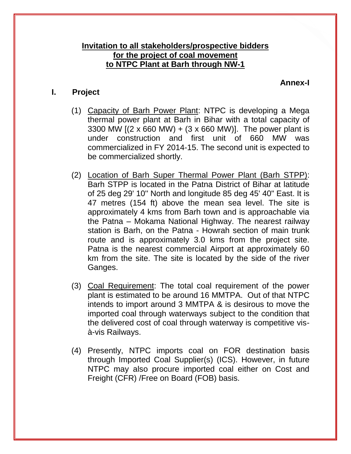## **Invitation to all stakeholders/prospective bidders for the project of coal movement to NTPC Plant at Barh through NW-1**

#### **Annex-I**

## **I. Project**

- (1) Capacity of Barh Power Plant: NTPC is developing a Mega thermal power plant at Barh in Bihar with a total capacity of 3300 MW  $(2 \times 660 \text{ MW}) + (3 \times 660 \text{ MW})$ . The power plant is under construction and first unit of 660 MW was commercialized in FY 2014-15. The second unit is expected to be commercialized shortly.
- (2) Location of Barh Super Thermal Power Plant (Barh STPP): Barh STPP is located in the Patna District of Bihar at latitude of 25 deg 29' 10'' North and longitude 85 deg 45' 40" East. It is 47 metres (154 ft) above the mean sea level. The site is approximately 4 kms from Barh town and is approachable via the Patna – Mokama National Highway. The nearest railway station is Barh, on the Patna - Howrah section of main trunk route and is approximately 3.0 kms from the project site. Patna is the nearest commercial Airport at approximately 60 km from the site. The site is located by the side of the river Ganges.
- (3) Coal Requirement: The total coal requirement of the power plant is estimated to be around 16 MMTPA. Out of that NTPC intends to import around 3 MMTPA & is desirous to move the imported coal through waterways subject to the condition that the delivered cost of coal through waterway is competitive visà-vis Railways.
- (4) Presently, NTPC imports coal on FOR destination basis through Imported Coal Supplier(s) (ICS). However, in future NTPC may also procure imported coal either on Cost and Freight (CFR) /Free on Board (FOB) basis.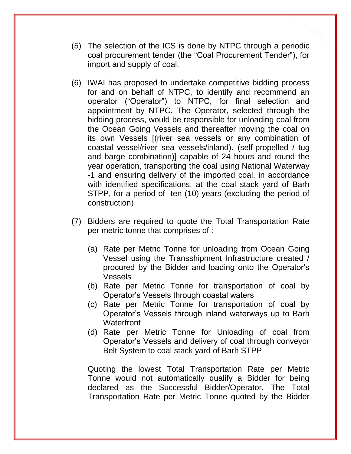- (5) The selection of the ICS is done by NTPC through a periodic coal procurement tender (the "Coal Procurement Tender"), for import and supply of coal.
- (6) IWAI has proposed to undertake competitive bidding process for and on behalf of NTPC, to identify and recommend an operator ("Operator") to NTPC, for final selection and appointment by NTPC. The Operator, selected through the bidding process, would be responsible for unloading coal from the Ocean Going Vessels and thereafter moving the coal on its own Vessels [(river sea vessels or any combination of coastal vessel/river sea vessels/inland). (self-propelled / tug and barge combination)] capable of 24 hours and round the year operation, transporting the coal using National Waterway -1 and ensuring delivery of the imported coal, in accordance with identified specifications, at the coal stack yard of Barh STPP, for a period of ten (10) years (excluding the period of construction)
- (7) Bidders are required to quote the Total Transportation Rate per metric tonne that comprises of :
	- (a) Rate per Metric Tonne for unloading from Ocean Going Vessel using the Transshipment Infrastructure created / procured by the Bidder and loading onto the Operator's Vessels
	- (b) Rate per Metric Tonne for transportation of coal by Operator's Vessels through coastal waters
	- (c) Rate per Metric Tonne for transportation of coal by Operator's Vessels through inland waterways up to Barh **Waterfront**
	- (d) Rate per Metric Tonne for Unloading of coal from Operator's Vessels and delivery of coal through conveyor Belt System to coal stack yard of Barh STPP

Quoting the lowest Total Transportation Rate per Metric Tonne would not automatically qualify a Bidder for being declared as the Successful Bidder/Operator. The Total Transportation Rate per Metric Tonne quoted by the Bidder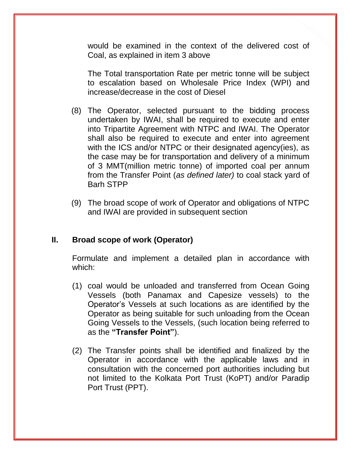would be examined in the context of the delivered cost of Coal, as explained in item 3 above

The Total transportation Rate per metric tonne will be subject to escalation based on Wholesale Price Index (WPI) and increase/decrease in the cost of Diesel

- (8) The Operator, selected pursuant to the bidding process undertaken by IWAI, shall be required to execute and enter into Tripartite Agreement with NTPC and IWAI. The Operator shall also be required to execute and enter into agreement with the ICS and/or NTPC or their designated agency(ies), as the case may be for transportation and delivery of a minimum of 3 MMT(million metric tonne) of imported coal per annum from the Transfer Point (*as defined later)* to coal stack yard of Barh STPP
- (9) The broad scope of work of Operator and obligations of NTPC and IWAI are provided in subsequent section

### **II. Broad scope of work (Operator)**

Formulate and implement a detailed plan in accordance with which:

- (1) coal would be unloaded and transferred from Ocean Going Vessels (both Panamax and Capesize vessels) to the Operator's Vessels at such locations as are identified by the Operator as being suitable for such unloading from the Ocean Going Vessels to the Vessels, (such location being referred to as the **"Transfer Point"**).
- (2) The Transfer points shall be identified and finalized by the Operator in accordance with the applicable laws and in consultation with the concerned port authorities including but not limited to the Kolkata Port Trust (KoPT) and/or Paradip Port Trust (PPT).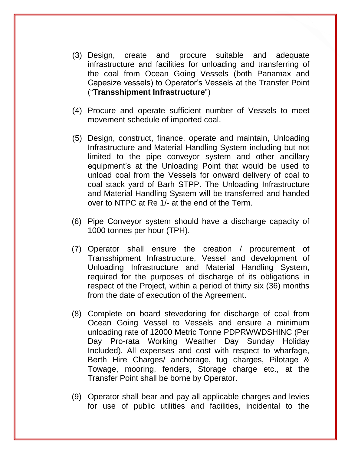- (3) Design, create and procure suitable and adequate infrastructure and facilities for unloading and transferring of the coal from Ocean Going Vessels (both Panamax and Capesize vessels) to Operator's Vessels at the Transfer Point ("**Transshipment Infrastructure**")
- (4) Procure and operate sufficient number of Vessels to meet movement schedule of imported coal.
- (5) Design, construct, finance, operate and maintain, Unloading Infrastructure and Material Handling System including but not limited to the pipe conveyor system and other ancillary equipment's at the Unloading Point that would be used to unload coal from the Vessels for onward delivery of coal to coal stack yard of Barh STPP. The Unloading Infrastructure and Material Handling System will be transferred and handed over to NTPC at Re 1/- at the end of the Term.
- (6) Pipe Conveyor system should have a discharge capacity of 1000 tonnes per hour (TPH).
- (7) Operator shall ensure the creation / procurement of Transshipment Infrastructure, Vessel and development of Unloading Infrastructure and Material Handling System, required for the purposes of discharge of its obligations in respect of the Project, within a period of thirty six (36) months from the date of execution of the Agreement.
- (8) Complete on board stevedoring for discharge of coal from Ocean Going Vessel to Vessels and ensure a minimum unloading rate of 12000 Metric Tonne PDPRWWDSHINC (Per Day Pro-rata Working Weather Day Sunday Holiday Included). All expenses and cost with respect to wharfage, Berth Hire Charges/ anchorage, tug charges, Pilotage & Towage, mooring, fenders, Storage charge etc., at the Transfer Point shall be borne by Operator.
- (9) Operator shall bear and pay all applicable charges and levies for use of public utilities and facilities, incidental to the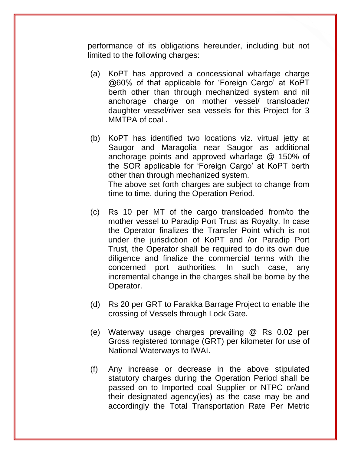performance of its obligations hereunder, including but not limited to the following charges:

- (a) KoPT has approved a concessional wharfage charge @60% of that applicable for 'Foreign Cargo' at KoPT berth other than through mechanized system and nil anchorage charge on mother vessel/ transloader/ daughter vessel/river sea vessels for this Project for 3 MMTPA of coal .
- (b) KoPT has identified two locations viz. virtual jetty at Saugor and Maragolia near Saugor as additional anchorage points and approved wharfage @ 150% of the SOR applicable for 'Foreign Cargo' at KoPT berth other than through mechanized system. The above set forth charges are subject to change from time to time, during the Operation Period.
- (c) Rs 10 per MT of the cargo transloaded from/to the mother vessel to Paradip Port Trust as Royalty. In case the Operator finalizes the Transfer Point which is not under the jurisdiction of KoPT and /or Paradip Port Trust, the Operator shall be required to do its own due diligence and finalize the commercial terms with the concerned port authorities. In such case, any incremental change in the charges shall be borne by the Operator.
- (d) Rs 20 per GRT to Farakka Barrage Project to enable the crossing of Vessels through Lock Gate.
- (e) Waterway usage charges prevailing @ Rs 0.02 per Gross registered tonnage (GRT) per kilometer for use of National Waterways to IWAI.
- (f) Any increase or decrease in the above stipulated statutory charges during the Operation Period shall be passed on to Imported coal Supplier or NTPC or/and their designated agency(ies) as the case may be and accordingly the Total Transportation Rate Per Metric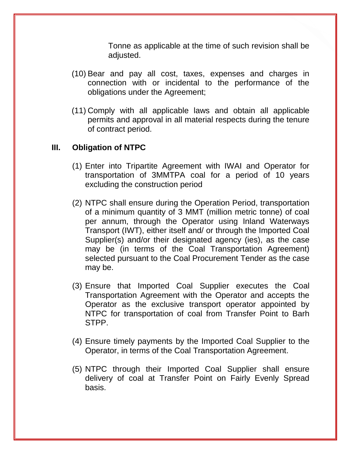Tonne as applicable at the time of such revision shall be adjusted.

- (10) Bear and pay all cost, taxes, expenses and charges in connection with or incidental to the performance of the obligations under the Agreement;
- (11) Comply with all applicable laws and obtain all applicable permits and approval in all material respects during the tenure of contract period.

# **III. Obligation of NTPC**

- (1) Enter into Tripartite Agreement with IWAI and Operator for transportation of 3MMTPA coal for a period of 10 years excluding the construction period
- (2) NTPC shall ensure during the Operation Period, transportation of a minimum quantity of 3 MMT (million metric tonne) of coal per annum, through the Operator using Inland Waterways Transport (IWT), either itself and/ or through the Imported Coal Supplier(s) and/or their designated agency (ies), as the case may be (in terms of the Coal Transportation Agreement) selected pursuant to the Coal Procurement Tender as the case may be.
- (3) Ensure that Imported Coal Supplier executes the Coal Transportation Agreement with the Operator and accepts the Operator as the exclusive transport operator appointed by NTPC for transportation of coal from Transfer Point to Barh STPP.
- (4) Ensure timely payments by the Imported Coal Supplier to the Operator, in terms of the Coal Transportation Agreement.
- (5) NTPC through their Imported Coal Supplier shall ensure delivery of coal at Transfer Point on Fairly Evenly Spread basis.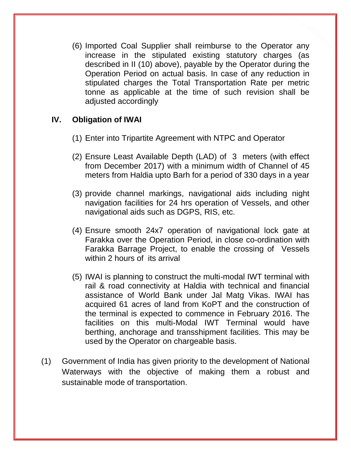(6) Imported Coal Supplier shall reimburse to the Operator any increase in the stipulated existing statutory charges (as described in II (10) above), payable by the Operator during the Operation Period on actual basis. In case of any reduction in stipulated charges the Total Transportation Rate per metric tonne as applicable at the time of such revision shall be adjusted accordingly

### **IV. Obligation of IWAI**

- (1) Enter into Tripartite Agreement with NTPC and Operator
- (2) Ensure Least Available Depth (LAD) of 3 meters (with effect from December 2017) with a minimum width of Channel of 45 meters from Haldia upto Barh for a period of 330 days in a year
- (3) provide channel markings, navigational aids including night navigation facilities for 24 hrs operation of Vessels, and other navigational aids such as DGPS, RIS, etc.
- (4) Ensure smooth 24x7 operation of navigational lock gate at Farakka over the Operation Period, in close co-ordination with Farakka Barrage Project, to enable the crossing of Vessels within 2 hours of its arrival
- (5) IWAI is planning to construct the multi-modal IWT terminal with rail & road connectivity at Haldia with technical and financial assistance of World Bank under Jal Matg Vikas. IWAI has acquired 61 acres of land from KoPT and the construction of the terminal is expected to commence in February 2016. The facilities on this multi-Modal IWT Terminal would have berthing, anchorage and transshipment facilities. This may be used by the Operator on chargeable basis.
- (1) Government of India has given priority to the development of National Waterways with the objective of making them a robust and sustainable mode of transportation.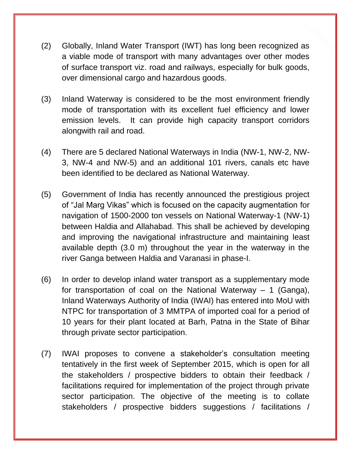- (2) Globally, Inland Water Transport (IWT) has long been recognized as a viable mode of transport with many advantages over other modes of surface transport viz. road and railways, especially for bulk goods, over dimensional cargo and hazardous goods.
- (3) Inland Waterway is considered to be the most environment friendly mode of transportation with its excellent fuel efficiency and lower emission levels. It can provide high capacity transport corridors alongwith rail and road.
- (4) There are 5 declared National Waterways in India (NW-1, NW-2, NW-3, NW-4 and NW-5) and an additional 101 rivers, canals etc have been identified to be declared as National Waterway.
- (5) Government of India has recently announced the prestigious project of "Jal Marg Vikas" which is focused on the capacity augmentation for navigation of 1500-2000 ton vessels on National Waterway-1 (NW-1) between Haldia and Allahabad. This shall be achieved by developing and improving the navigational infrastructure and maintaining least available depth (3.0 m) throughout the year in the waterway in the river Ganga between Haldia and Varanasi in phase-I.
- (6) In order to develop inland water transport as a supplementary mode for transportation of coal on the National Waterway – 1 (Ganga), Inland Waterways Authority of India (IWAI) has entered into MoU with NTPC for transportation of 3 MMTPA of imported coal for a period of 10 years for their plant located at Barh, Patna in the State of Bihar through private sector participation.
- (7) IWAI proposes to convene a stakeholder's consultation meeting tentatively in the first week of September 2015, which is open for all the stakeholders / prospective bidders to obtain their feedback / facilitations required for implementation of the project through private sector participation. The objective of the meeting is to collate stakeholders / prospective bidders suggestions / facilitations /